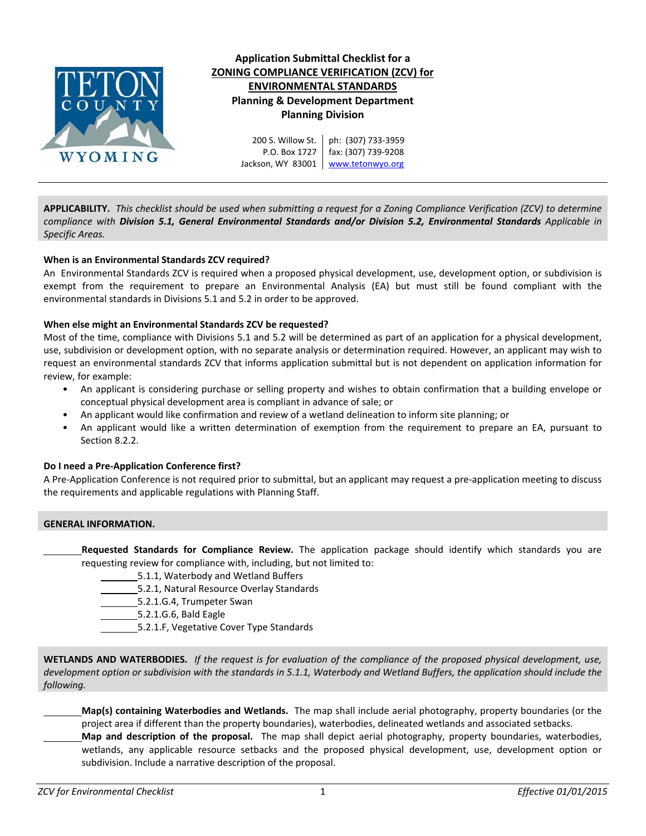

# **Application Submittal Checklist for a ZONING COMPLIANCE VERIFICATION (ZCV) for ENVIRONMENTAL STANDARDS Planning & Development Department Planning Division**

200 S. Willow St. P.O. Box 1727 Jackson, WY 83001 Www.tetonwyo.org ph: (307) 733‐3959 fax: (307) 739‐9208

APPLICABILITY. This checklist should be used when submitting a request for a Zoning Compliance Verification (ZCV) to determine *compliance with Division 5.1, General Environmental Standards and/or Division 5.2, Environmental Standards Applicable in Specific Areas.*

# **When is an Environmental Standards ZCV required?**

An Environmental Standards ZCV is required when a proposed physical development, use, development option, or subdivision is exempt from the requirement to prepare an Environmental Analysis (EA) but must still be found compliant with the environmental standards in Divisions 5.1 and 5.2 in order to be approved.

# **When else might an Environmental Standards ZCV be requested?**

Most of the time, compliance with Divisions 5.1 and 5.2 will be determined as part of an application for a physical development, use, subdivision or development option, with no separate analysis or determination required. However, an applicant may wish to request an environmental standards ZCV that informs application submittal but is not dependent on application information for review, for example:

- An applicant is considering purchase or selling property and wishes to obtain confirmation that a building envelope or conceptual physical development area is compliant in advance of sale; or
- An applicant would like confirmation and review of a wetland delineation to inform site planning; or
- An applicant would like a written determination of exemption from the requirement to prepare an EA, pursuant to Section 8.2.2.

# **Do I need a Pre‐Application Conference first?**

A Pre‐Application Conference is not required prior to submittal, but an applicant may request a pre‐application meeting to discuss the requirements and applicable regulations with Planning Staff.

# **GENERAL INFORMATION.**

**Requested Standards for Compliance Review.** The application package should identify which standards you are requesting review for compliance with, including, but not limited to:

5.1.1, Waterbody and Wetland Buffers

- 5.2.1, Natural Resource Overlay Standards
- 5.2.1.G.4, Trumpeter Swan
- 5.2.1.G.6, Bald Eagle
- 5.2.1.F, Vegetative Cover Type Standards

WETLANDS AND WATERBODIES. If the request is for evaluation of the compliance of the proposed physical development, use, development option or subdivision with the standards in 5.1.1, Waterbody and Wetland Buffers, the application should include the *following.*

**Map(s) containing Waterbodies and Wetlands.** The map shall include aerial photography, property boundaries (or the project area if different than the property boundaries), waterbodies, delineated wetlands and associated setbacks.

**Map and description of the proposal.** The map shall depict aerial photography, property boundaries, waterbodies, wetlands, any applicable resource setbacks and the proposed physical development, use, development option or subdivision. Include a narrative description of the proposal.